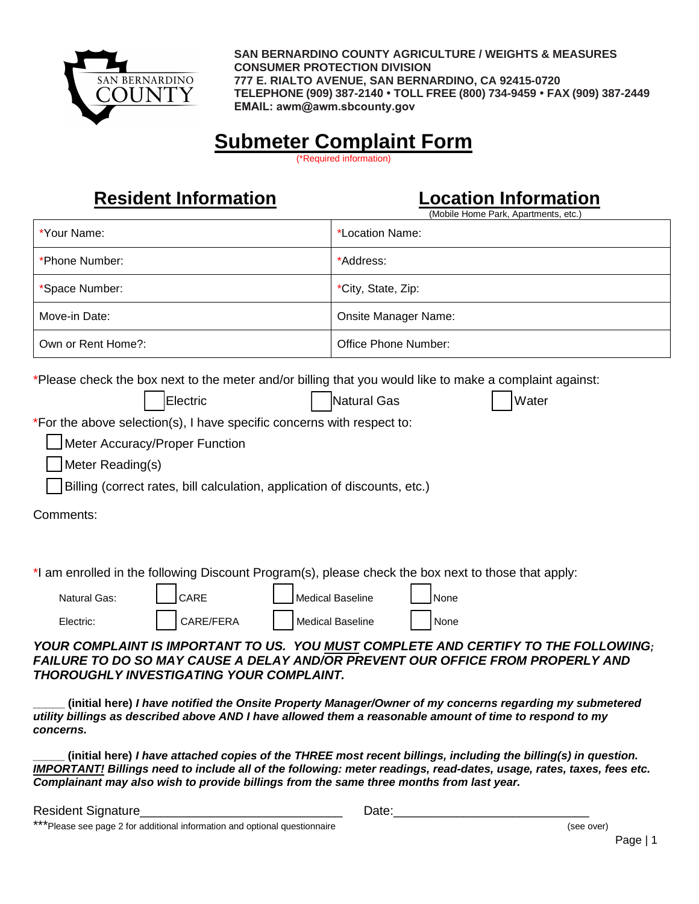

**SAN BERNARDINO COUNTY AGRICULTURE / WEIGHTS & MEASURES CONSUMER PROTECTION DIVISION 777 E. RIALTO AVENUE, SAN BERNARDINO, CA 92415-0720 TELEPHONE (909) 387-2140 TOLL FREE (800) 734-9459 FAX (909) 387-2449 EMAIL: awm@awm.sbcounty.gov** 

## **Submeter Complaint Form**

(\*Required information)

## **Resident Information Location Information**

|                                                                                                                                                                                                                                                                                                                                                                                                                                                                                                                                                                                                                                                                                                   | , , , , , , <del>,</del> , , , , , , , , , ,<br>(Mobile Home Park, Apartments, etc.) |  |  |
|---------------------------------------------------------------------------------------------------------------------------------------------------------------------------------------------------------------------------------------------------------------------------------------------------------------------------------------------------------------------------------------------------------------------------------------------------------------------------------------------------------------------------------------------------------------------------------------------------------------------------------------------------------------------------------------------------|--------------------------------------------------------------------------------------|--|--|
| *Your Name:                                                                                                                                                                                                                                                                                                                                                                                                                                                                                                                                                                                                                                                                                       | *Location Name:                                                                      |  |  |
| *Phone Number:                                                                                                                                                                                                                                                                                                                                                                                                                                                                                                                                                                                                                                                                                    | *Address:                                                                            |  |  |
| *Space Number:                                                                                                                                                                                                                                                                                                                                                                                                                                                                                                                                                                                                                                                                                    | *City, State, Zip:                                                                   |  |  |
| Move-in Date:                                                                                                                                                                                                                                                                                                                                                                                                                                                                                                                                                                                                                                                                                     | <b>Onsite Manager Name:</b>                                                          |  |  |
| Own or Rent Home?:                                                                                                                                                                                                                                                                                                                                                                                                                                                                                                                                                                                                                                                                                | Office Phone Number:                                                                 |  |  |
| *Please check the box next to the meter and/or billing that you would like to make a complaint against:<br>Electric<br>Natural Gas<br>Water<br>*For the above selection(s), I have specific concerns with respect to:<br>Meter Accuracy/Proper Function<br>Meter Reading(s)<br>Billing (correct rates, bill calculation, application of discounts, etc.)<br>Comments:                                                                                                                                                                                                                                                                                                                             |                                                                                      |  |  |
| *I am enrolled in the following Discount Program(s), please check the box next to those that apply:<br>CARE<br><b>Medical Baseline</b><br><b>Natural Gas:</b><br>None<br>CARE/FERA<br><b>Medical Baseline</b><br>Electric:<br>None<br>YOUR COMPLAINT IS IMPORTANT TO US. YOU MUST COMPLETE AND CERTIFY TO THE FOLLOWING;<br>FAILURE TO DO SO MAY CAUSE A DELAY AND/OR PREVENT OUR OFFICE FROM PROPERLY AND<br><b>THOROUGHLY INVESTIGATING YOUR COMPLAINT.</b><br>(initial here) I have notified the Onsite Property Manager/Owner of my concerns regarding my submetered<br>utility billings as described above AND I have allowed them a reasonable amount of time to respond to my<br>concerns. |                                                                                      |  |  |

**\_\_\_\_\_ (initial here)** *I have attached copies of the THREE most recent billings, including the billing(s) in question. IMPORTANT! Billings need to include all of the following: meter readings, read-dates, usage, rates, taxes, fees etc. Complainant may also wish to provide billings from the same three months from last year.* 

Resident Signature example and the set of the Date:

\*\*\*Please see page 2 for additional information and optional questionnaire (see over)